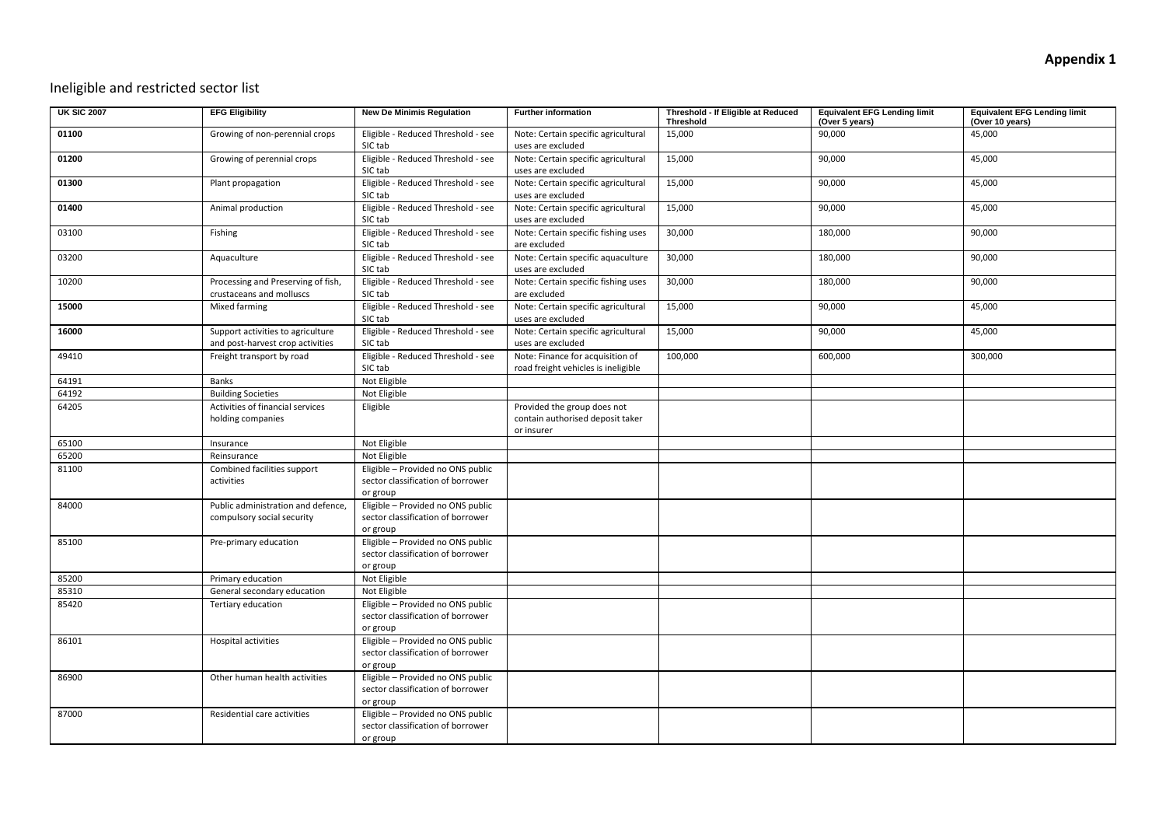## Ineligible and restricted sector list

| <b>UK SIC 2007</b> | <b>EFG Eligibility</b>                                                | <b>New De Minimis Regulation</b>                                                   | <b>Further information</b>                                                    | Threshold - If Eligible at Reduced<br>Threshold | <b>Equivalent EFG Lending limit</b><br>(Over 5 years) | <b>Equivalent EFG Lending limit</b><br>(Over 10 years) |
|--------------------|-----------------------------------------------------------------------|------------------------------------------------------------------------------------|-------------------------------------------------------------------------------|-------------------------------------------------|-------------------------------------------------------|--------------------------------------------------------|
| 01100              | Growing of non-perennial crops                                        | Eligible - Reduced Threshold - see<br>SIC tab                                      | Note: Certain specific agricultural<br>uses are excluded                      | 15,000                                          | 90,000                                                | 45,000                                                 |
| 01200              | Growing of perennial crops                                            | Eligible - Reduced Threshold - see<br>SIC tab                                      | Note: Certain specific agricultural<br>uses are excluded                      | 15,000                                          | 90,000                                                | 45,000                                                 |
| 01300              | Plant propagation                                                     | Eligible - Reduced Threshold - see<br>SIC tab                                      | Note: Certain specific agricultural<br>uses are excluded                      | 15,000                                          | 90,000                                                | 45,000                                                 |
| 01400              | Animal production                                                     | Eligible - Reduced Threshold - see<br>SIC tab                                      | Note: Certain specific agricultural<br>uses are excluded                      | 15,000                                          | 90,000                                                | 45,000                                                 |
| 03100              | Fishing                                                               | Eligible - Reduced Threshold - see<br>SIC tab                                      | Note: Certain specific fishing uses<br>are excluded                           | 30,000                                          | 180,000                                               | 90,000                                                 |
| 03200              | Aquaculture                                                           | Eligible - Reduced Threshold - see<br>SIC tab                                      | Note: Certain specific aquaculture<br>uses are excluded                       | 30,000                                          | 180,000                                               | 90,000                                                 |
| 10200              | Processing and Preserving of fish,<br>crustaceans and molluscs        | Eligible - Reduced Threshold - see<br>SIC tab                                      | Note: Certain specific fishing uses<br>are excluded                           | 30,000                                          | 180,000                                               | 90,000                                                 |
| 15000              | Mixed farming                                                         | Eligible - Reduced Threshold - see<br>SIC tab                                      | Note: Certain specific agricultural<br>uses are excluded                      | 15,000                                          | 90,000                                                | 45,000                                                 |
| 16000              | Support activities to agriculture<br>and post-harvest crop activities | Eligible - Reduced Threshold - see<br>SIC tab                                      | Note: Certain specific agricultural<br>uses are excluded                      | 15,000                                          | 90,000                                                | 45,000                                                 |
| 49410              | Freight transport by road                                             | Eligible - Reduced Threshold - see<br>SIC tab                                      | Note: Finance for acquisition of<br>road freight vehicles is ineligible       | 100,000                                         | 600,000                                               | 300,000                                                |
| 64191              | Banks                                                                 | Not Eligible                                                                       |                                                                               |                                                 |                                                       |                                                        |
| 64192              | <b>Building Societies</b>                                             | Not Eligible                                                                       |                                                                               |                                                 |                                                       |                                                        |
| 64205              | Activities of financial services<br>holding companies                 | Eligible                                                                           | Provided the group does not<br>contain authorised deposit taker<br>or insurer |                                                 |                                                       |                                                        |
| 65100              | Insurance                                                             | Not Eligible                                                                       |                                                                               |                                                 |                                                       |                                                        |
| 65200              | Reinsurance                                                           | Not Eligible                                                                       |                                                                               |                                                 |                                                       |                                                        |
| 81100              | Combined facilities support<br>activities                             | Eligible - Provided no ONS public<br>sector classification of borrower<br>or group |                                                                               |                                                 |                                                       |                                                        |
| 84000              | Public administration and defence,<br>compulsory social security      | Eligible - Provided no ONS public<br>sector classification of borrower<br>or group |                                                                               |                                                 |                                                       |                                                        |
| 85100              | Pre-primary education                                                 | Eligible - Provided no ONS public<br>sector classification of borrower<br>or group |                                                                               |                                                 |                                                       |                                                        |
| 85200              | Primary education                                                     | Not Eligible                                                                       |                                                                               |                                                 |                                                       |                                                        |
| 85310              | General secondary education                                           | Not Eligible                                                                       |                                                                               |                                                 |                                                       |                                                        |
| 85420              | Tertiary education                                                    | Eligible - Provided no ONS public<br>sector classification of borrower<br>or group |                                                                               |                                                 |                                                       |                                                        |
| 86101              | Hospital activities                                                   | Eligible - Provided no ONS public<br>sector classification of borrower<br>or group |                                                                               |                                                 |                                                       |                                                        |
| 86900              | Other human health activities                                         | Eligible - Provided no ONS public<br>sector classification of borrower<br>or group |                                                                               |                                                 |                                                       |                                                        |
| 87000              | Residential care activities                                           | Eligible - Provided no ONS public<br>sector classification of borrower<br>or group |                                                                               |                                                 |                                                       |                                                        |